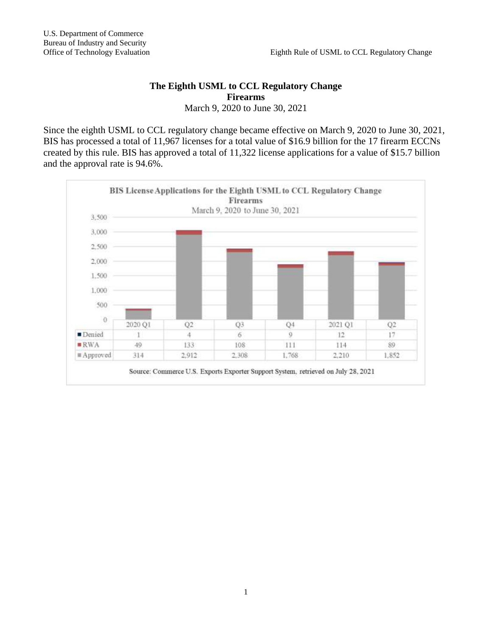## **The Eighth USML to CCL Regulatory Change Firearms** March 9, 2020 to June 30, 2021

Since the eighth USML to CCL regulatory change became effective on March 9, 2020 to June 30, 2021, BIS has processed a total of 11,967 licenses for a total value of \$16.9 billion for the 17 firearm ECCNs created by this rule. BIS has approved a total of 11,322 license applications for a value of \$15.7 billion and the approval rate is 94.6%.

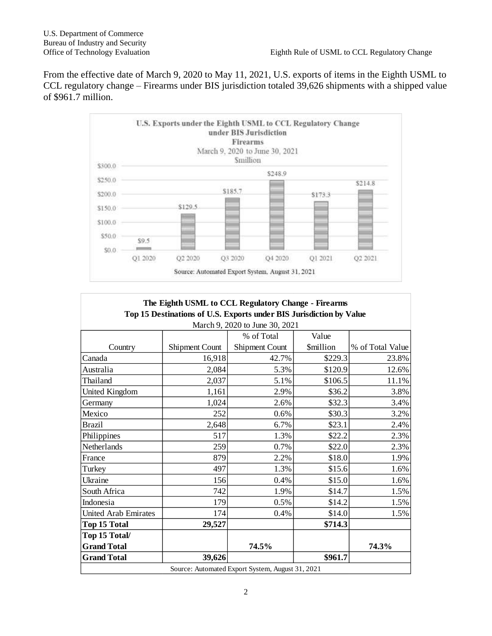From the effective date of March 9, 2020 to May 11, 2021, U.S. exports of items in the Eighth USML to CCL regulatory change – Firearms under BIS jurisdiction totaled 39,626 shipments with a shipped value of \$961.7 million.



| The Eighth USML to CCL Regulatory Change - Firearms<br>Top 15 Destinations of U.S. Exports under BIS Jurisdiction by Value |                       |                       |                         |                  |
|----------------------------------------------------------------------------------------------------------------------------|-----------------------|-----------------------|-------------------------|------------------|
| March 9, 2020 to June 30, 2021                                                                                             |                       |                       |                         |                  |
|                                                                                                                            |                       | % of Total            | Value                   |                  |
| Country                                                                                                                    | <b>Shipment Count</b> | <b>Shipment Count</b> | <i><b>\$million</b></i> | % of Total Value |
| Canada                                                                                                                     | 16,918                | 42.7%                 | \$229.3                 | 23.8%            |
| Australia                                                                                                                  | 2,084                 | 5.3%                  | \$120.9                 | 12.6%            |
| Thailand                                                                                                                   | 2,037                 | 5.1%                  | \$106.5                 | 11.1%            |
| United Kingdom                                                                                                             | 1,161                 | 2.9%                  | \$36.2                  | 3.8%             |
| Germany                                                                                                                    | 1,024                 | 2.6%                  | \$32.3                  | 3.4%             |
| Mexico                                                                                                                     | 252                   | 0.6%                  | \$30.3                  | 3.2%             |
| <b>Brazil</b>                                                                                                              | 2,648                 | 6.7%                  | \$23.1                  | 2.4%             |
| Philippines                                                                                                                | 517                   | 1.3%                  | \$22.2                  | 2.3%             |
| Netherlands                                                                                                                | 259                   | 0.7%                  | \$22.0                  | 2.3%             |
| France                                                                                                                     | 879                   | 2.2%                  | \$18.0                  | 1.9%             |
| Turkey                                                                                                                     | 497                   | 1.3%                  | \$15.6                  | 1.6%             |
| Ukraine                                                                                                                    | 156                   | 0.4%                  | \$15.0                  | 1.6%             |
| South Africa                                                                                                               | 742                   | 1.9%                  | \$14.7                  | 1.5%             |
| Indonesia                                                                                                                  | 179                   | 0.5%                  | \$14.2                  | 1.5%             |
| <b>United Arab Emirates</b>                                                                                                | 174                   | 0.4%                  | \$14.0                  | 1.5%             |
| <b>Top 15 Total</b>                                                                                                        | 29,527                |                       | \$714.3                 |                  |
| Top 15 Total/                                                                                                              |                       |                       |                         |                  |
| <b>Grand Total</b>                                                                                                         |                       | 74.5%                 |                         | 74.3%            |
| <b>Grand Total</b>                                                                                                         | 39,626                |                       | \$961.7                 |                  |
| Source: Automated Export System, August 31, 2021                                                                           |                       |                       |                         |                  |